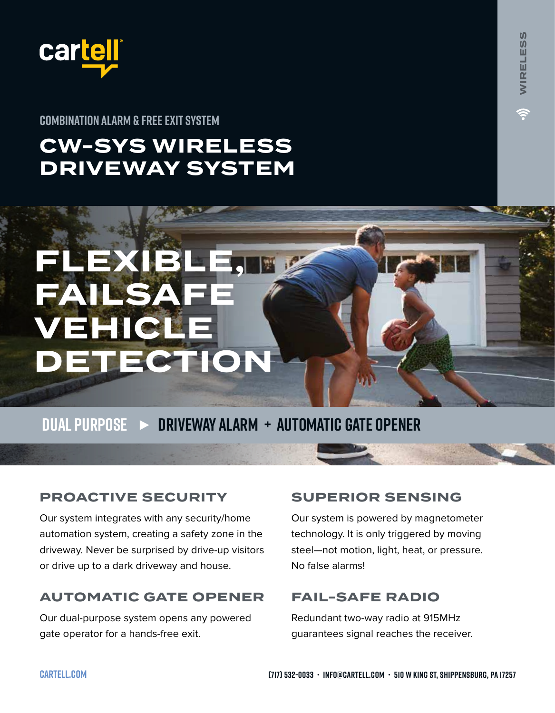

**COMBINATION ALARM & FREE EXIT SYSTEM**

**FLEXIBL** 

**VEHICLE** 

**FAILSA** 

# **CW-SYS WIRELESS DRIVEWAY SYSTEM**



**DUAL PURPOSE DRIVEWAY ALARM + AUTOMATIC GATE OPENER**

# **PROACTIVE SECURITY**

Our system integrates with any security/home automation system, creating a safety zone in the driveway. Never be surprised by drive-up visitors or drive up to a dark driveway and house.

# **AUTOMATIC GATE OPENER**

Our dual-purpose system opens any powered gate operator for a hands-free exit.

# **SUPERIOR SENSING**

Our system is powered by magnetometer technology. It is only triggered by moving steel—not motion, light, heat, or pressure. No false alarms!

# **FAIL-SAFE RADIO**

Redundant two-way radio at 915MHz guarantees signal reaches the receiver.